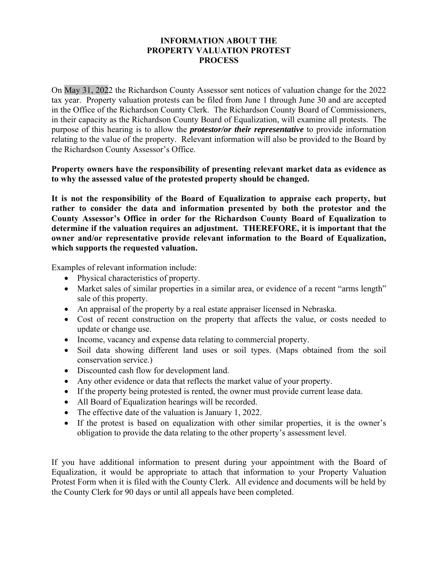## **INFORMATION ABOUT THE PROPERTY VALUATION PROTEST PROCESS**

On May 31, 2022 the Richardson County Assessor sent notices of valuation change for the 2022 tax year. Property valuation protests can be filed from June 1 through June 30 and are accepted in the Office of the Richardson County Clerk. The Richardson County Board of Commissioners, in their capacity as the Richardson County Board of Equalization, will examine all protests. The purpose of this hearing is to allow the *protestor/or their representative* to provide information relating to the value of the property. Relevant information will also be provided to the Board by the Richardson County Assessor's Office.

**Property owners have the responsibility of presenting relevant market data as evidence as to why the assessed value of the protested property should be changed.** 

**It is not the responsibility of the Board of Equalization to appraise each property, but rather to consider the data and information presented by both the protestor and the County Assessor's Office in order for the Richardson County Board of Equalization to determine if the valuation requires an adjustment. THEREFORE, it is important that the owner and/or representative provide relevant information to the Board of Equalization, which supports the requested valuation.** 

Examples of relevant information include:

- Physical characteristics of property.
- Market sales of similar properties in a similar area, or evidence of a recent "arms length" sale of this property.
- An appraisal of the property by a real estate appraiser licensed in Nebraska.
- Cost of recent construction on the property that affects the value, or costs needed to update or change use.
- Income, vacancy and expense data relating to commercial property.
- Soil data showing different land uses or soil types. (Maps obtained from the soil conservation service.)
- Discounted cash flow for development land.
- Any other evidence or data that reflects the market value of your property.
- If the property being protested is rented, the owner must provide current lease data.
- All Board of Equalization hearings will be recorded.
- The effective date of the valuation is January 1, 2022.
- If the protest is based on equalization with other similar properties, it is the owner's obligation to provide the data relating to the other property's assessment level.

If you have additional information to present during your appointment with the Board of Equalization, it would be appropriate to attach that information to your Property Valuation Protest Form when it is filed with the County Clerk. All evidence and documents will be held by the County Clerk for 90 days or until all appeals have been completed.